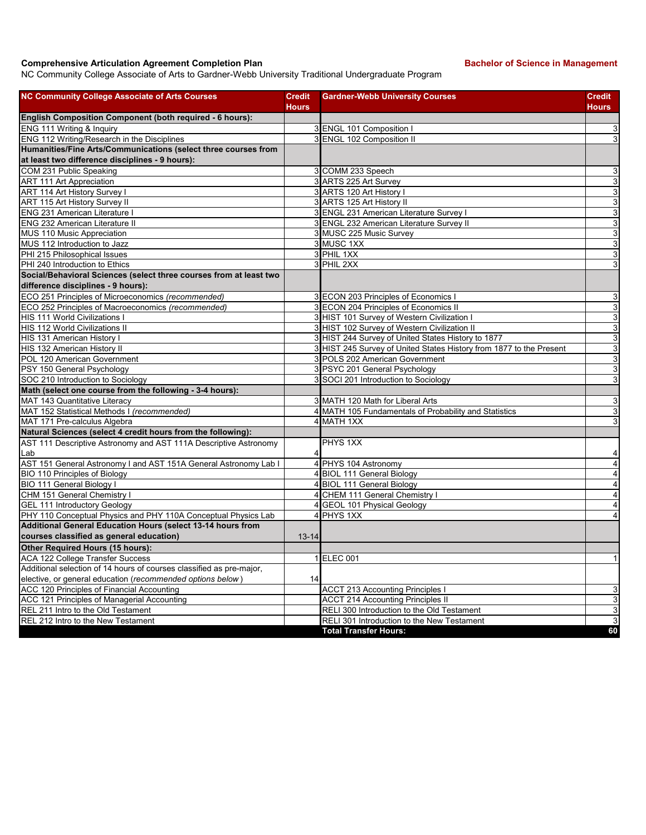## **Comprehensive Articulation Agreement Completion Plan Bachelor of Science in Management**

NC Community College Associate of Arts to Gardner-Webb University Traditional Undergraduate Program

| <b>NC Community College Associate of Arts Courses</b>                | <b>Credit</b><br><b>Hours</b> | <b>Gardner-Webb University Courses</b>                              | <b>Credit</b><br><b>Hours</b> |
|----------------------------------------------------------------------|-------------------------------|---------------------------------------------------------------------|-------------------------------|
| <b>English Composition Component (both required - 6 hours):</b>      |                               |                                                                     |                               |
| ENG 111 Writing & Inquiry                                            |                               | 3 ENGL 101 Composition I                                            | 3                             |
| ENG 112 Writing/Research in the Disciplines                          |                               | 3 ENGL 102 Composition II                                           | 3                             |
| Humanities/Fine Arts/Communications (select three courses from       |                               |                                                                     |                               |
| at least two difference disciplines - 9 hours):                      |                               |                                                                     |                               |
| COM 231 Public Speaking                                              |                               | 3 COMM 233 Speech                                                   | 3                             |
| <b>ART 111 Art Appreciation</b>                                      |                               | 3 ARTS 225 Art Survey                                               | 3                             |
| ART 114 Art History Survey I                                         |                               | 3 ARTS 120 Art History I                                            | 3                             |
| ART 115 Art History Survey II                                        |                               | 3 ARTS 125 Art History II                                           | 3                             |
| <b>ENG 231 American Literature I</b>                                 |                               | 3 ENGL 231 American Literature Survey I                             | 3                             |
| <b>ENG 232 American Literature II</b>                                |                               | 3 ENGL 232 American Literature Survey II                            | 3                             |
| <b>MUS 110 Music Appreciation</b>                                    |                               | 3 MUSC 225 Music Survey                                             | 3                             |
| MUS 112 Introduction to Jazz                                         |                               | 3 MUSC 1XX                                                          | 3                             |
| PHI 215 Philosophical Issues                                         |                               | 3 PHIL 1XX                                                          | 3                             |
| PHI 240 Introduction to Ethics                                       |                               | 3 PHIL 2XX                                                          | 3                             |
| Social/Behavioral Sciences (select three courses from at least two   |                               |                                                                     |                               |
| difference disciplines - 9 hours):                                   |                               |                                                                     |                               |
| ECO 251 Principles of Microeconomics (recommended)                   |                               | 3 ECON 203 Principles of Economics I                                | 3                             |
| ECO 252 Principles of Macroeconomics (recommended)                   |                               | 3 ECON 204 Principles of Economics II                               | $\overline{3}$                |
| <b>HIS 111 World Civilizations I</b>                                 |                               | 3 HIST 101 Survey of Western Civilization I                         | 3                             |
| HIS 112 World Civilizations II                                       |                               | 3 HIST 102 Survey of Western Civilization II                        | 3                             |
| HIS 131 American History I                                           |                               | 3 HIST 244 Survey of United States History to 1877                  | $\mathsf 3$                   |
| HIS 132 American History II                                          |                               | 3 HIST 245 Survey of United States History from 1877 to the Present | 3                             |
| POL 120 American Government                                          |                               | 3 POLS 202 American Government                                      | 3                             |
| PSY 150 General Psychology                                           |                               | 3 PSYC 201 General Psychology                                       | 3                             |
| SOC 210 Introduction to Sociology                                    |                               | 3 SOCI 201 Introduction to Sociology                                | 3                             |
| Math (select one course from the following - 3-4 hours):             |                               |                                                                     |                               |
| MAT 143 Quantitative Literacy                                        |                               | 3 MATH 120 Math for Liberal Arts                                    | $\mathbf{3}$                  |
| MAT 152 Statistical Methods I (recommended)                          |                               | 4 MATH 105 Fundamentals of Probability and Statistics               | 3                             |
| MAT 171 Pre-calculus Algebra                                         |                               | 4 MATH 1XX                                                          | 3                             |
| Natural Sciences (select 4 credit hours from the following):         |                               |                                                                     |                               |
| AST 111 Descriptive Astronomy and AST 111A Descriptive Astronomy     |                               | PHYS 1XX                                                            |                               |
| lLab                                                                 |                               |                                                                     | 4                             |
| AST 151 General Astronomy I and AST 151A General Astronomy Lab I     | 4                             | PHYS 104 Astronomy                                                  | $\overline{4}$                |
| BIO 110 Principles of Biology                                        |                               | 4 BIOL 111 General Biology                                          | $\overline{4}$                |
| BIO 111 General Biology I                                            |                               | 4 BIOL 111 General Biology                                          | $\overline{\mathbf{4}}$       |
| CHM 151 General Chemistry I                                          |                               | 4 CHEM 111 General Chemistry I                                      | $\overline{4}$                |
| <b>GEL 111 Introductory Geology</b>                                  |                               | 4 GEOL 101 Physical Geology                                         | $\overline{4}$                |
| PHY 110 Conceptual Physics and PHY 110A Conceptual Physics Lab       |                               | 4 PHYS 1XX                                                          | $\overline{4}$                |
| Additional General Education Hours (select 13-14 hours from          |                               |                                                                     |                               |
| courses classified as general education)                             | $13 - 14$                     |                                                                     |                               |
| Other Required Hours (15 hours):                                     |                               |                                                                     |                               |
| ACA 122 College Transfer Success                                     |                               | 1 ELEC 001                                                          | $\mathbf{1}$                  |
| Additional selection of 14 hours of courses classified as pre-major, |                               |                                                                     |                               |
| elective, or general education (recommended options below)           | 14                            |                                                                     |                               |
| ACC 120 Principles of Financial Accounting                           |                               | <b>ACCT 213 Accounting Principles I</b>                             | 3                             |
| ACC 121 Principles of Managerial Accounting                          |                               | <b>ACCT 214 Accounting Principles II</b>                            | 3                             |
| REL 211 Intro to the Old Testament                                   |                               | RELI 300 Introduction to the Old Testament                          | 3                             |
| REL 212 Intro to the New Testament                                   |                               | RELI 301 Introduction to the New Testament                          | $\overline{3}$                |
|                                                                      |                               | <b>Total Transfer Hours:</b>                                        | 60                            |